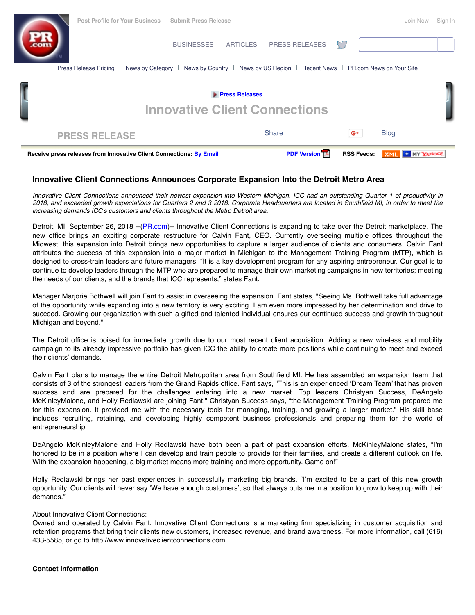| Receive press releases from Innovative Client Connections: By Email |                   |                 | <b>PDF Version TA</b>                                      | <b>RSS Feeds:</b> |             |  |
|---------------------------------------------------------------------|-------------------|-----------------|------------------------------------------------------------|-------------------|-------------|--|
| <b>PRESS RELEASE</b>                                                |                   |                 | <b>Share</b>                                               | $G^+$             | <b>Blog</b> |  |
| <b>Press Releases</b><br><b>Innovative Client Connections</b>       |                   |                 |                                                            |                   |             |  |
|                                                                     |                   |                 |                                                            |                   |             |  |
| News by Category<br>Press Release Pricing                           | News by Country   |                 | News by US Region   Recent News   PR.com News on Your Site |                   |             |  |
|                                                                     | <b>BUSINESSES</b> | <b>ARTICLES</b> | <b>PRESS RELEASES</b>                                      |                   |             |  |
|                                                                     |                   |                 |                                                            |                   |             |  |

## **Innovative Client Connections Announces Corporate Expansion Into the Detroit Metro Area**

*Innovative Client Connections announced their newest expansion into Western Michigan. ICC had an outstanding Quarter 1 of productivity in 2018, and exceeded growth expectations for Quarters 2 and 3 2018. Corporate Headquarters are located in Southfield MI, in order to meet the increasing demands ICC's customers and clients throughout the Metro Detroit area.*

Detroit, MI, September 26, 2018 --([PR.com\)](https://www.pr.com/)-- Innovative Client Connections is expanding to take over the Detroit marketplace. The new office brings an exciting corporate restructure for Calvin Fant, CEO. Currently overseeing multiple offices throughout the Midwest, this expansion into Detroit brings new opportunities to capture a larger audience of clients and consumers. Calvin Fant attributes the success of this expansion into a major market in Michigan to the Management Training Program (MTP), which is designed to cross-train leaders and future managers. "It is a key development program for any aspiring entrepreneur. Our goal is to continue to develop leaders through the MTP who are prepared to manage their own marketing campaigns in new territories; meeting the needs of our clients, and the brands that ICC represents," states Fant.

Manager Marjorie Bothwell will join Fant to assist in overseeing the expansion. Fant states, "Seeing Ms. Bothwell take full advantage of the opportunity while expanding into a new territory is very exciting. I am even more impressed by her determination and drive to succeed. Growing our organization with such a gifted and talented individual ensures our continued success and growth throughout Michigan and beyond."

The Detroit office is poised for immediate growth due to our most recent client acquisition. Adding a new wireless and mobility campaign to its already impressive portfolio has given ICC the ability to create more positions while continuing to meet and exceed their clients' demands.

Calvin Fant plans to manage the entire Detroit Metropolitan area from Southfield MI. He has assembled an expansion team that consists of 3 of the strongest leaders from the Grand Rapids office. Fant says, "This is an experienced 'Dream Team' that has proven success and are prepared for the challenges entering into a new market. Top leaders Christyan Success, DeAngelo McKinleyMalone, and Holly Redlawski are joining Fant." Christyan Success says, "the Management Training Program prepared me for this expansion. It provided me with the necessary tools for managing, training, and growing a larger market." His skill base includes recruiting, retaining, and developing highly competent business professionals and preparing them for the world of entrepreneurship.

DeAngelo McKinleyMalone and Holly Redlawski have both been a part of past expansion efforts. McKinleyMalone states, "I'm honored to be in a position where I can develop and train people to provide for their families, and create a different outlook on life. With the expansion happening, a big market means more training and more opportunity. Game on!"

Holly Redlawski brings her past experiences in successfully marketing big brands. "I'm excited to be a part of this new growth opportunity. Our clients will never say 'We have enough customers', so that always puts me in a position to grow to keep up with their demands."

## About Innovative Client Connections:

Owned and operated by Calvin Fant, Innovative Client Connections is a marketing firm specializing in customer acquisition and retention programs that bring their clients new customers, increased revenue, and brand awareness. For more information, call (616) 433-5585, or go to http://www.innovativeclientconnections.com.